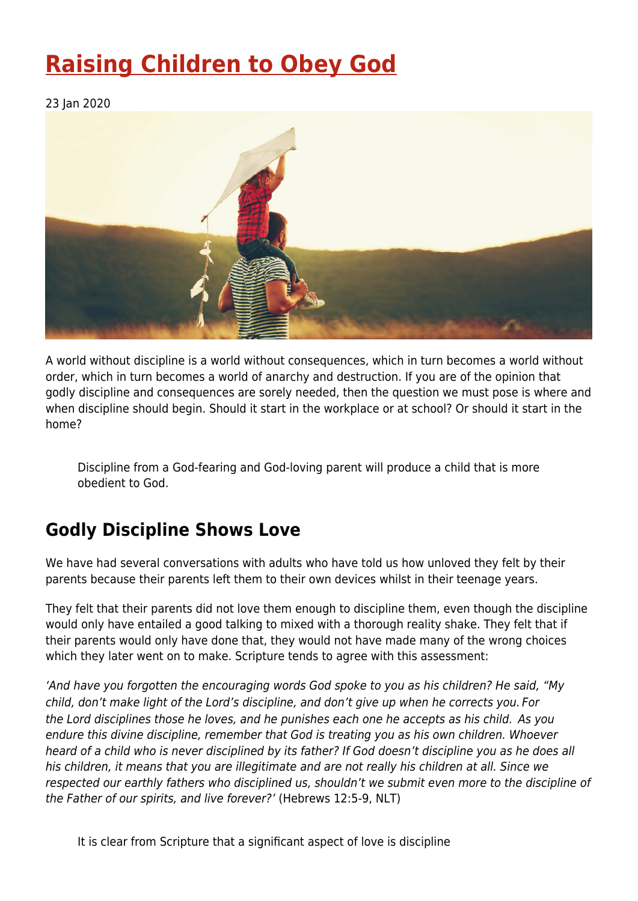# **[Raising Children to Obey God](https://four12global.com/articles/raising-children-to-obey-god/)**

23 Jan 2020



A world without discipline is a world without consequences, which in turn becomes a world without order, which in turn becomes a world of anarchy and destruction. If you are of the opinion that godly discipline and consequences are sorely needed, then the question we must pose is where and when discipline should begin. Should it start in the workplace or at school? Or should it start in the home?

Discipline from a God-fearing and God-loving parent will produce a child that is more obedient to God.

### **Godly Discipline Shows Love**

We have had several conversations with adults who have told us how unloved they felt by their parents because their parents left them to their own devices whilst in their teenage years.

They felt that their parents did not love them enough to discipline them, even though the discipline would only have entailed a good talking to mixed with a thorough reality shake. They felt that if their parents would only have done that, they would not have made many of the wrong choices which they later went on to make. Scripture tends to agree with this assessment:

'And have you forgotten the encouraging words God spoke to you as his children? He said, "My child, don't make light of the Lord's discipline, and don't give up when he corrects you. For the Lord disciplines those he loves, and he punishes each one he accepts as his child. As you endure this divine discipline, remember that God is treating you as his own children. Whoever heard of a child who is never disciplined by its father? If God doesn't discipline you as he does all his children, it means that you are illegitimate and are not really his children at all. Since we respected our earthly fathers who disciplined us, shouldn't we submit even more to the discipline of the Father of our spirits, and live forever?' (Hebrews 12:5-9, NLT)

It is clear from Scripture that a significant aspect of love is discipline